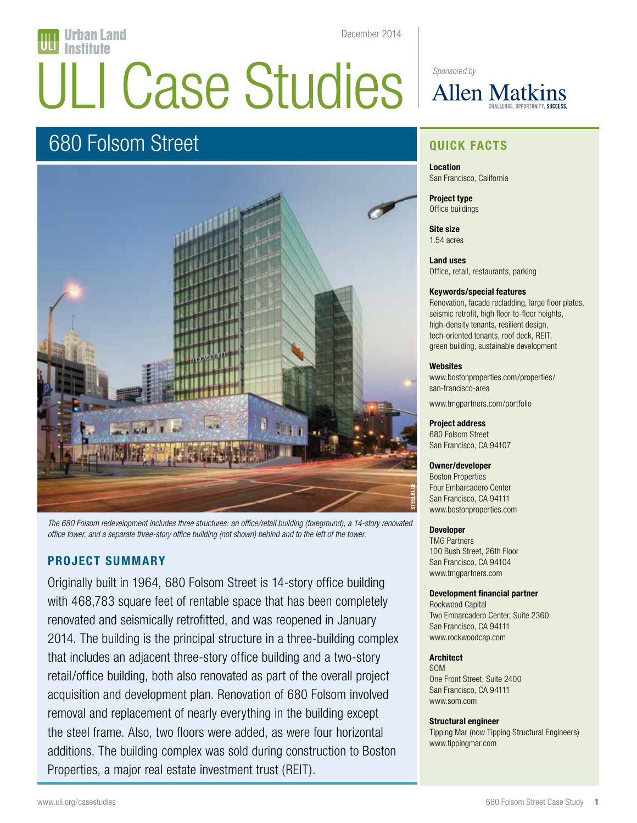# December 2014 rban Land ULI Case Studies **Allen Matk**

# 680 Folsom Street



*The 680 Folsom redevelopment includes three structures: an office/retail building (foreground), a 14-story renovated office tower, and a separate three-story office building (not shown) behind and to the left of the tower.* 

# **PROJECT SUMMARY**

Originally built in 1964, 680 Folsom Street is 14-story office building with 468,783 square feet of rentable space that has been completely renovated and seismically retrofitted, and was reopened in January 2014. The building is the principal structure in a three-building complex that includes an adjacent three-story office building and a two-story retail/office building, both also renovated as part of the overall project acquisition and development plan. Renovation of 680 Folsom involved removal and replacement of nearly everything in the building except the steel frame. Also, two floors were added, as were four horizontal additions. The building complex was sold during construction to Boston Properties, a major real estate investment trust (REIT).

# **QUICK FACTS**

**Location** San Francisco, California

**Project type** Office buildings

**Site size** 1.54 acres

**Land uses** Office, retail, restaurants, parking

#### **Keywords/special features**

Renovation, facade recladding, large floor plates, seismic retrofit, high floor-to-floor heights, high-density tenants, resilient design, tech-oriented tenants, roof deck, REIT, green building, sustainable development

#### **Websites**

www.bostonproperties.com/properties/ san-francisco-area

www.tmgpartners.com/portfolio

#### **Project address**

680 Folsom Street San Francisco, CA 94107

#### **Owner/developer**

Boston Properties Four Embarcadero Center San Francisco, CA 94111 www.bostonproperties.com

#### **Developer**

TMG Partners 100 Bush Street, 26th Floor San Francisco, CA 94104 www.tmgpartners.com

#### **Development financial partner**

Rockwood Capital Two Embarcadero Center, Suite 2360 San Francisco, CA 94111 www.rockwoodcap.com

#### **Architect**

SOM One Front Street, Suite 2400 San Francisco, CA 94111 www.som.com

#### **Structural engineer**

Tipping Mar (now Tipping Structural Engineers) www.tippingmar.com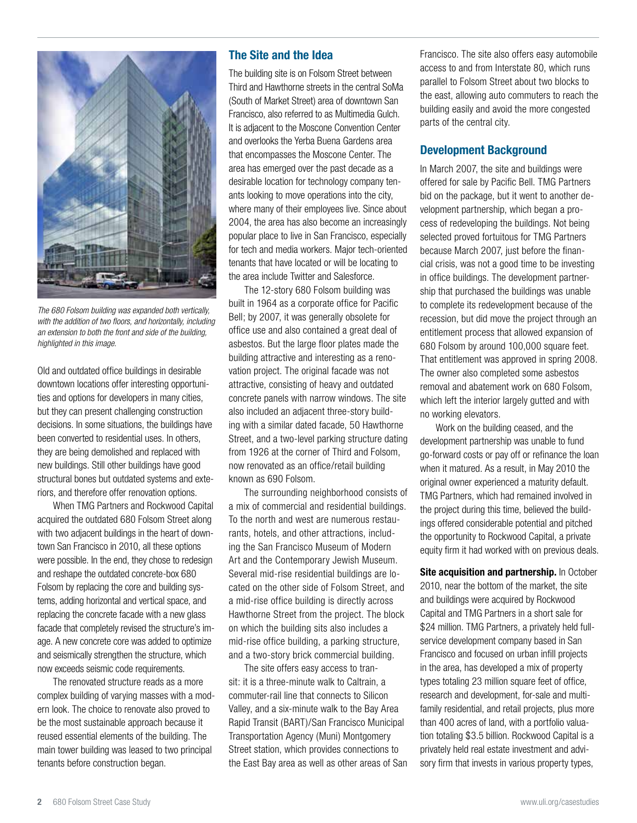

*The 680 Folsom building was expanded both vertically, with the addition of two floors, and horizontally, including an extension to both the front and side of the building, highlighted in this image.* 

Old and outdated office buildings in desirable downtown locations offer interesting opportunities and options for developers in many cities, but they can present challenging construction decisions. In some situations, the buildings have been converted to residential uses. In others, they are being demolished and replaced with new buildings. Still other buildings have good structural bones but outdated systems and exteriors, and therefore offer renovation options.

When TMG Partners and Rockwood Capital acquired the outdated 680 Folsom Street along with two adjacent buildings in the heart of downtown San Francisco in 2010, all these options were possible. In the end, they chose to redesign and reshape the outdated concrete-box 680 Folsom by replacing the core and building systems, adding horizontal and vertical space, and replacing the concrete facade with a new glass facade that completely revised the structure's image. A new concrete core was added to optimize and seismically strengthen the structure, which now exceeds seismic code requirements.

The renovated structure reads as a more complex building of varying masses with a modern look. The choice to renovate also proved to be the most sustainable approach because it reused essential elements of the building. The main tower building was leased to two principal tenants before construction began.

## **The Site and the Idea**

The building site is on Folsom Street between Third and Hawthorne streets in the central SoMa (South of Market Street) area of downtown San Francisco, also referred to as Multimedia Gulch. It is adjacent to the Moscone Convention Center and overlooks the Yerba Buena Gardens area that encompasses the Moscone Center. The area has emerged over the past decade as a desirable location for technology company tenants looking to move operations into the city, where many of their employees live. Since about 2004, the area has also become an increasingly popular place to live in San Francisco, especially for tech and media workers. Major tech-oriented tenants that have located or will be locating to the area include Twitter and Salesforce.

The 12-story 680 Folsom building was built in 1964 as a corporate office for Pacific Bell; by 2007, it was generally obsolete for office use and also contained a great deal of asbestos. But the large floor plates made the building attractive and interesting as a renovation project. The original facade was not attractive, consisting of heavy and outdated concrete panels with narrow windows. The site also included an adjacent three-story building with a similar dated facade, 50 Hawthorne Street, and a two-level parking structure dating from 1926 at the corner of Third and Folsom, now renovated as an office/retail building known as 690 Folsom.

The surrounding neighborhood consists of a mix of commercial and residential buildings. To the north and west are numerous restaurants, hotels, and other attractions, including the San Francisco Museum of Modern Art and the Contemporary Jewish Museum. Several mid-rise residential buildings are located on the other side of Folsom Street, and a mid-rise office building is directly across Hawthorne Street from the project. The block on which the building sits also includes a mid-rise office building, a parking structure, and a two-story brick commercial building.

The site offers easy access to transit: it is a three-minute walk to Caltrain, a commuter-rail line that connects to Silicon Valley, and a six-minute walk to the Bay Area Rapid Transit (BART)/San Francisco Municipal Transportation Agency (Muni) Montgomery Street station, which provides connections to the East Bay area as well as other areas of San Francisco. The site also offers easy automobile access to and from Interstate 80, which runs parallel to Folsom Street about two blocks to the east, allowing auto commuters to reach the building easily and avoid the more congested parts of the central city.

# **Development Background**

In March 2007, the site and buildings were offered for sale by Pacific Bell. TMG Partners bid on the package, but it went to another development partnership, which began a process of redeveloping the buildings. Not being selected proved fortuitous for TMG Partners because March 2007, just before the financial crisis, was not a good time to be investing in office buildings. The development partnership that purchased the buildings was unable to complete its redevelopment because of the recession, but did move the project through an entitlement process that allowed expansion of 680 Folsom by around 100,000 square feet. That entitlement was approved in spring 2008. The owner also completed some asbestos removal and abatement work on 680 Folsom, which left the interior largely gutted and with no working elevators.

Work on the building ceased, and the development partnership was unable to fund go-forward costs or pay off or refinance the loan when it matured. As a result, in May 2010 the original owner experienced a maturity default. TMG Partners, which had remained involved in the project during this time, believed the buildings offered considerable potential and pitched the opportunity to Rockwood Capital, a private equity firm it had worked with on previous deals.

**Site acquisition and partnership.** In October 2010, near the bottom of the market, the site and buildings were acquired by Rockwood Capital and TMG Partners in a short sale for \$24 million. TMG Partners, a privately held fullservice development company based in San Francisco and focused on urban infill projects in the area, has developed a mix of property types totaling 23 million square feet of office, research and development, for-sale and multifamily residential, and retail projects, plus more than 400 acres of land, with a portfolio valuation totaling \$3.5 billion. Rockwood Capital is a privately held real estate investment and advisory firm that invests in various property types,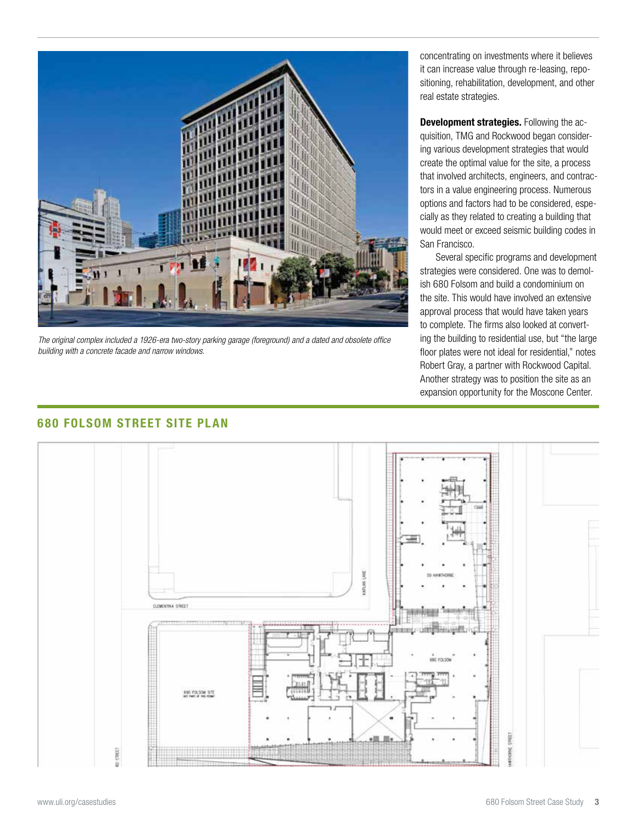

*The original complex included a 1926-era two-story parking garage (foreground) and a dated and obsolete office building with a concrete facade and narrow windows.* 

concentrating on investments where it believes it can increase value through re-leasing, repositioning, rehabilitation, development, and other real estate strategies.

**Development strategies.** Following the acquisition, TMG and Rockwood began considering various development strategies that would create the optimal value for the site, a process that involved architects, engineers, and contractors in a value engineering process. Numerous options and factors had to be considered, especially as they related to creating a building that would meet or exceed seismic building codes in San Francisco.

Several specific programs and development strategies were considered. One was to demolish 680 Folsom and build a condominium on the site. This would have involved an extensive approval process that would have taken years to complete. The firms also looked at converting the building to residential use, but "the large floor plates were not ideal for residential," notes Robert Gray, a partner with Rockwood Capital. Another strategy was to position the site as an expansion opportunity for the Moscone Center.



# **680 FOLSOM STREET SITE PLAN**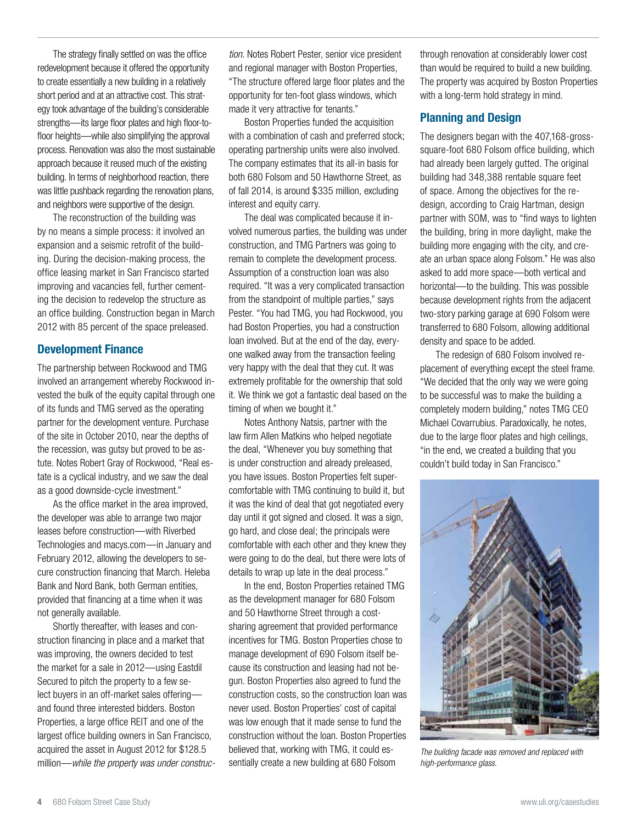The strategy finally settled on was the office redevelopment because it offered the opportunity to create essentially a new building in a relatively short period and at an attractive cost. This strategy took advantage of the building's considerable strengths—its large floor plates and high floor-tofloor heights—while also simplifying the approval process. Renovation was also the most sustainable approach because it reused much of the existing building. In terms of neighborhood reaction, there was little pushback regarding the renovation plans, and neighbors were supportive of the design.

The reconstruction of the building was by no means a simple process: it involved an expansion and a seismic retrofit of the building. During the decision-making process, the office leasing market in San Francisco started improving and vacancies fell, further cementing the decision to redevelop the structure as an office building. Construction began in March 2012 with 85 percent of the space preleased.

#### **Development Finance**

The partnership between Rockwood and TMG involved an arrangement whereby Rockwood invested the bulk of the equity capital through one of its funds and TMG served as the operating partner for the development venture. Purchase of the site in October 2010, near the depths of the recession, was gutsy but proved to be astute. Notes Robert Gray of Rockwood, "Real estate is a cyclical industry, and we saw the deal as a good downside-cycle investment."

As the office market in the area improved, the developer was able to arrange two major leases before construction—with Riverbed Technologies and macys.com—in January and February 2012, allowing the developers to secure construction financing that March. Heleba Bank and Nord Bank, both German entities, provided that financing at a time when it was not generally available.

Shortly thereafter, with leases and construction financing in place and a market that was improving, the owners decided to test the market for a sale in 2012—using Eastdil Secured to pitch the property to a few select buyers in an off-market sales offering and found three interested bidders. Boston Properties, a large office REIT and one of the largest office building owners in San Francisco, acquired the asset in August 2012 for \$128.5 million—*while the property was under construc-*

*tion.* Notes Robert Pester, senior vice president and regional manager with Boston Properties, "The structure offered large floor plates and the opportunity for ten-foot glass windows, which made it very attractive for tenants."

Boston Properties funded the acquisition with a combination of cash and preferred stock; operating partnership units were also involved. The company estimates that its all-in basis for both 680 Folsom and 50 Hawthorne Street, as of fall 2014, is around \$335 million, excluding interest and equity carry.

The deal was complicated because it involved numerous parties, the building was under construction, and TMG Partners was going to remain to complete the development process. Assumption of a construction loan was also required. "It was a very complicated transaction from the standpoint of multiple parties," says Pester. "You had TMG, you had Rockwood, you had Boston Properties, you had a construction loan involved. But at the end of the day, everyone walked away from the transaction feeling very happy with the deal that they cut. It was extremely profitable for the ownership that sold it. We think we got a fantastic deal based on the timing of when we bought it."

Notes Anthony Natsis, partner with the law firm Allen Matkins who helped negotiate the deal, "Whenever you buy something that is under construction and already preleased, you have issues. Boston Properties felt supercomfortable with TMG continuing to build it, but it was the kind of deal that got negotiated every day until it got signed and closed. It was a sign, go hard, and close deal; the principals were comfortable with each other and they knew they were going to do the deal, but there were lots of details to wrap up late in the deal process."

In the end, Boston Properties retained TMG as the development manager for 680 Folsom and 50 Hawthorne Street through a costsharing agreement that provided performance incentives for TMG. Boston Properties chose to manage development of 690 Folsom itself because its construction and leasing had not begun. Boston Properties also agreed to fund the construction costs, so the construction loan was never used. Boston Properties' cost of capital was low enough that it made sense to fund the construction without the loan. Boston Properties believed that, working with TMG, it could essentially create a new building at 680 Folsom

through renovation at considerably lower cost than would be required to build a new building. The property was acquired by Boston Properties with a long-term hold strategy in mind.

#### **Planning and Design**

The designers began with the 407,168-grosssquare-foot 680 Folsom office building, which had already been largely gutted. The original building had 348,388 rentable square feet of space. Among the objectives for the redesign, according to Craig Hartman, design partner with SOM, was to "find ways to lighten the building, bring in more daylight, make the building more engaging with the city, and create an urban space along Folsom." He was also asked to add more space—both vertical and horizontal—to the building. This was possible because development rights from the adjacent two-story parking garage at 690 Folsom were transferred to 680 Folsom, allowing additional density and space to be added.

The redesign of 680 Folsom involved replacement of everything except the steel frame. "We decided that the only way we were going to be successful was to make the building a completely modern building," notes TMG CEO Michael Covarrubius. Paradoxically, he notes, due to the large floor plates and high ceilings, "in the end, we created a building that you couldn't build today in San Francisco."



*The building facade was removed and replaced with high-performance glass.*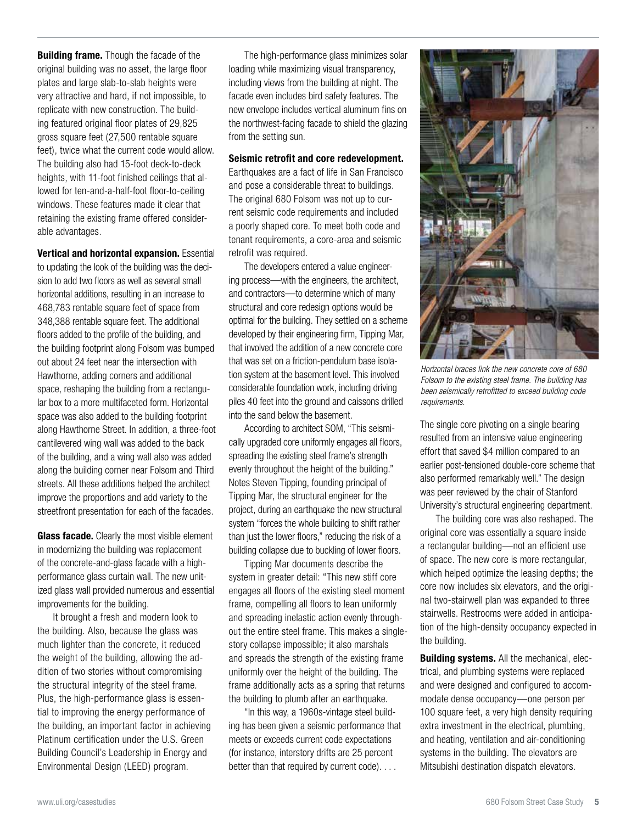**Building frame.** Though the facade of the original building was no asset, the large floor plates and large slab-to-slab heights were very attractive and hard, if not impossible, to replicate with new construction. The building featured original floor plates of 29,825 gross square feet (27,500 rentable square feet), twice what the current code would allow. The building also had 15-foot deck-to-deck heights, with 11-foot finished ceilings that allowed for ten-and-a-half-foot floor-to-ceiling windows. These features made it clear that retaining the existing frame offered considerable advantages.

**Vertical and horizontal expansion.** Essential to updating the look of the building was the decision to add two floors as well as several small horizontal additions, resulting in an increase to 468,783 rentable square feet of space from 348,388 rentable square feet. The additional floors added to the profile of the building, and the building footprint along Folsom was bumped out about 24 feet near the intersection with Hawthorne, adding corners and additional space, reshaping the building from a rectangular box to a more multifaceted form. Horizontal space was also added to the building footprint along Hawthorne Street. In addition, a three-foot cantilevered wing wall was added to the back of the building, and a wing wall also was added along the building corner near Folsom and Third streets. All these additions helped the architect improve the proportions and add variety to the streetfront presentation for each of the facades.

**Glass facade.** Clearly the most visible element in modernizing the building was replacement of the concrete-and-glass facade with a highperformance glass curtain wall. The new unitized glass wall provided numerous and essential improvements for the building.

It brought a fresh and modern look to the building. Also, because the glass was much lighter than the concrete, it reduced the weight of the building, allowing the addition of two stories without compromising the structural integrity of the steel frame. Plus, the high-performance glass is essential to improving the energy performance of the building, an important factor in achieving Platinum certification under the U.S. Green Building Council's Leadership in Energy and Environmental Design (LEED) program.

The high-performance glass minimizes solar loading while maximizing visual transparency, including views from the building at night. The facade even includes bird safety features. The new envelope includes vertical aluminum fins on the northwest-facing facade to shield the glazing from the setting sun.

#### **Seismic retrofit and core redevelopment.**

Earthquakes are a fact of life in San Francisco and pose a considerable threat to buildings. The original 680 Folsom was not up to current seismic code requirements and included a poorly shaped core. To meet both code and tenant requirements, a core-area and seismic retrofit was required.

The developers entered a value engineering process—with the engineers, the architect, and contractors—to determine which of many structural and core redesign options would be optimal for the building. They settled on a scheme developed by their engineering firm, Tipping Mar, that involved the addition of a new concrete core that was set on a friction-pendulum base isolation system at the basement level. This involved considerable foundation work, including driving piles 40 feet into the ground and caissons drilled into the sand below the basement.

According to architect SOM, "This seismically upgraded core uniformly engages all floors, spreading the existing steel frame's strength evenly throughout the height of the building." Notes Steven Tipping, founding principal of Tipping Mar, the structural engineer for the project, during an earthquake the new structural system "forces the whole building to shift rather than just the lower floors," reducing the risk of a building collapse due to buckling of lower floors.

Tipping Mar documents describe the system in greater detail: "This new stiff core engages all floors of the existing steel moment frame, compelling all floors to lean uniformly and spreading inelastic action evenly throughout the entire steel frame. This makes a singlestory collapse impossible; it also marshals and spreads the strength of the existing frame uniformly over the height of the building. The frame additionally acts as a spring that returns the building to plumb after an earthquake.

"In this way, a 1960s-vintage steel building has been given a seismic performance that meets or exceeds current code expectations (for instance, interstory drifts are 25 percent better than that required by current code). . . .



*Horizontal braces link the new concrete core of 680 Folsom to the existing steel frame. The building has been seismically retrofitted to exceed building code requirements.*

The single core pivoting on a single bearing resulted from an intensive value engineering effort that saved \$4 million compared to an earlier post-tensioned double-core scheme that also performed remarkably well." The design was peer reviewed by the chair of Stanford University's structural engineering department.

The building core was also reshaped. The original core was essentially a square inside a rectangular building—not an efficient use of space. The new core is more rectangular, which helped optimize the leasing depths; the core now includes six elevators, and the original two-stairwell plan was expanded to three stairwells. Restrooms were added in anticipation of the high-density occupancy expected in the building.

**Building systems.** All the mechanical, electrical, and plumbing systems were replaced and were designed and configured to accommodate dense occupancy—one person per 100 square feet, a very high density requiring extra investment in the electrical, plumbing, and heating, ventilation and air-conditioning systems in the building. The elevators are Mitsubishi destination dispatch elevators.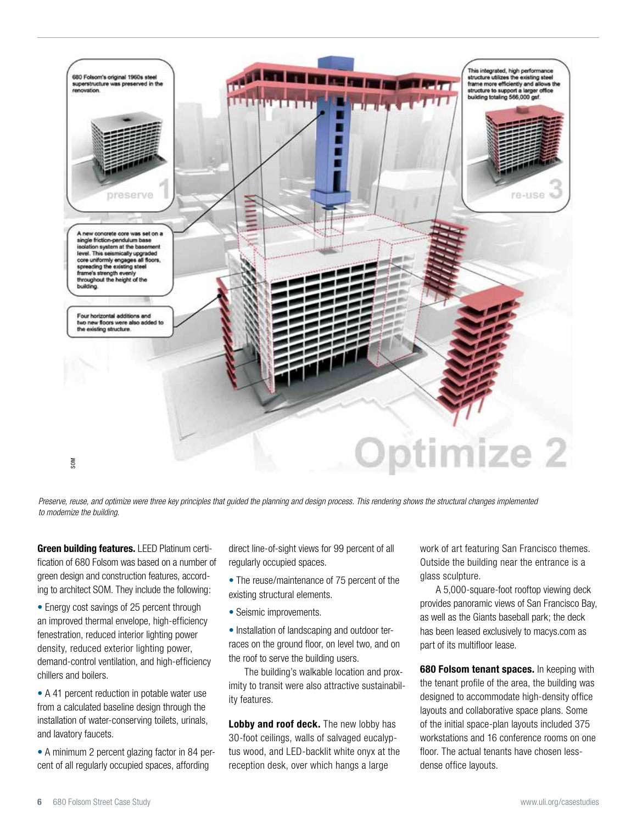

*Preserve, reuse, and optimize were three key principles that guided the planning and design process. This rendering shows the structural changes implemented* 

**Green building features.** LEED Platinum certification of 680 Folsom was based on a number of green design and construction features, according to architect SOM. They include the following:

• Energy cost savings of 25 percent through an improved thermal envelope, high-efficiency fenestration, reduced interior lighting power density, reduced exterior lighting power, demand-control ventilation, and high-efficiency chillers and boilers.

• A 41 percent reduction in potable water use from a calculated baseline design through the installation of water-conserving toilets, urinals, and lavatory faucets.

• A minimum 2 percent glazing factor in 84 percent of all regularly occupied spaces, affording

direct line-of-sight views for 99 percent of all regularly occupied spaces.

• The reuse/maintenance of 75 percent of the existing structural elements.

• Seismic improvements.

• Installation of landscaping and outdoor terraces on the ground floor, on level two, and on the roof to serve the building users.

The building's walkable location and proximity to transit were also attractive sustainability features.

**Lobby and roof deck.** The new lobby has 30-foot ceilings, walls of salvaged eucalyptus wood, and LED-backlit white onyx at the reception desk, over which hangs a large

work of art featuring San Francisco themes. Outside the building near the entrance is a glass sculpture.

A 5,000-square-foot rooftop viewing deck provides panoramic views of San Francisco Bay, as well as the Giants baseball park; the deck has been leased exclusively to macys.com as part of its multifloor lease.

**680 Folsom tenant spaces.** In keeping with the tenant profile of the area, the building was designed to accommodate high-density office layouts and collaborative space plans. Some of the initial space-plan layouts included 375 workstations and 16 conference rooms on one floor. The actual tenants have chosen lessdense office layouts.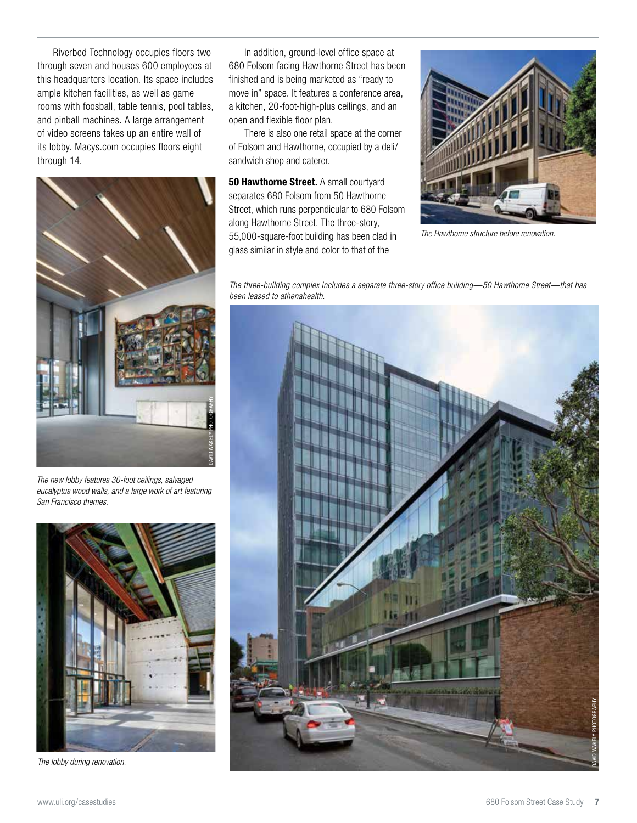Riverbed Technology occupies floors two through seven and houses 600 employees at this headquarters location. Its space includes ample kitchen facilities, as well as game rooms with foosball, table tennis, pool tables, and pinball machines. A large arrangement of video screens takes up an entire wall of its lobby. Macys.com occupies floors eight through 14.



*The new lobby features 30-foot ceilings, salvaged eucalyptus wood walls, and a large work of art featuring San Francisco themes.* 



*The lobby during renovation.* 

In addition, ground-level office space at 680 Folsom facing Hawthorne Street has been finished and is being marketed as "ready to move in" space. It features a conference area, a kitchen, 20-foot-high-plus ceilings, and an open and flexible floor plan.

There is also one retail space at the corner of Folsom and Hawthorne, occupied by a deli/ sandwich shop and caterer.

**50 Hawthorne Street.** A small courtyard separates 680 Folsom from 50 Hawthorne Street, which runs perpendicular to 680 Folsom along Hawthorne Street. The three-story, 55,000-square-foot building has been clad in glass similar in style and color to that of the



*The Hawthorne structure before renovation.*

*The three-building complex includes a separate three-story office building—50 Hawthorne Street—that has been leased to athenahealth.* 

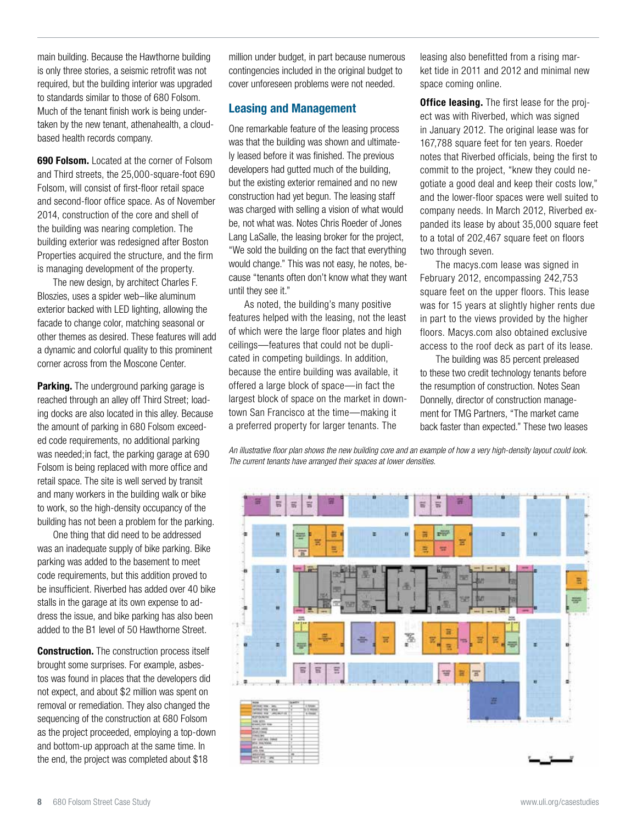main building. Because the Hawthorne building is only three stories, a seismic retrofit was not required, but the building interior was upgraded to standards similar to those of 680 Folsom. Much of the tenant finish work is being undertaken by the new tenant, athenahealth, a cloudbased health records company.

**690 Folsom.** Located at the corner of Folsom and Third streets, the 25,000-square-foot 690 Folsom, will consist of first-floor retail space and second-floor office space. As of November 2014, construction of the core and shell of the building was nearing completion. The building exterior was redesigned after Boston Properties acquired the structure, and the firm is managing development of the property.

The new design, by architect Charles F. Bloszies, uses a spider web–like aluminum exterior backed with LED lighting, allowing the facade to change color, matching seasonal or other themes as desired. These features will add a dynamic and colorful quality to this prominent corner across from the Moscone Center.

**Parking.** The underground parking garage is reached through an alley off Third Street; loading docks are also located in this alley. Because the amount of parking in 680 Folsom exceeded code requirements, no additional parking was needed;in fact, the parking garage at 690 Folsom is being replaced with more office and retail space. The site is well served by transit and many workers in the building walk or bike to work, so the high-density occupancy of the building has not been a problem for the parking.

One thing that did need to be addressed was an inadequate supply of bike parking. Bike parking was added to the basement to meet code requirements, but this addition proved to be insufficient. Riverbed has added over 40 bike stalls in the garage at its own expense to address the issue, and bike parking has also been added to the B1 level of 50 Hawthorne Street.

**Construction.** The construction process itself brought some surprises. For example, asbestos was found in places that the developers did not expect, and about \$2 million was spent on removal or remediation. They also changed the sequencing of the construction at 680 Folsom as the project proceeded, employing a top-down and bottom-up approach at the same time. In the end, the project was completed about \$18

million under budget, in part because numerous contingencies included in the original budget to cover unforeseen problems were not needed.

# **Leasing and Management**

One remarkable feature of the leasing process was that the building was shown and ultimately leased before it was finished. The previous developers had gutted much of the building, but the existing exterior remained and no new construction had yet begun. The leasing staff was charged with selling a vision of what would be, not what was. Notes Chris Roeder of Jones Lang LaSalle, the leasing broker for the project, "We sold the building on the fact that everything would change." This was not easy, he notes, because "tenants often don't know what they want until they see it."

As noted, the building's many positive features helped with the leasing, not the least of which were the large floor plates and high ceilings—features that could not be duplicated in competing buildings. In addition, because the entire building was available, it offered a large block of space—in fact the largest block of space on the market in downtown San Francisco at the time—making it a preferred property for larger tenants. The

leasing also benefitted from a rising market tide in 2011 and 2012 and minimal new space coming online.

**Office leasing.** The first lease for the project was with Riverbed, which was signed in January 2012. The original lease was for 167,788 square feet for ten years. Roeder notes that Riverbed officials, being the first to commit to the project, "knew they could negotiate a good deal and keep their costs low," and the lower-floor spaces were well suited to company needs. In March 2012, Riverbed expanded its lease by about 35,000 square feet to a total of 202,467 square feet on floors two through seven.

The macys.com lease was signed in February 2012, encompassing 242,753 square feet on the upper floors. This lease was for 15 years at slightly higher rents due in part to the views provided by the higher floors. Macys.com also obtained exclusive access to the roof deck as part of its lease.

The building was 85 percent preleased to these two credit technology tenants before the resumption of construction. Notes Sean Donnelly, director of construction management for TMG Partners, "The market came back faster than expected." These two leases

*An illustrative floor plan shows the new building core and an example of how a very high-density layout could look. The current tenants have arranged their spaces at lower densities.*

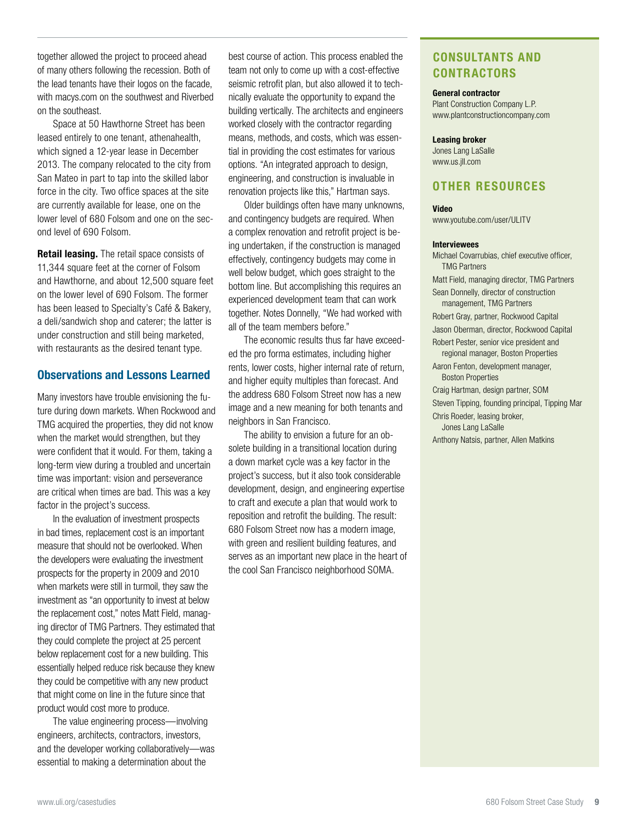together allowed the project to proceed ahead of many others following the recession. Both of the lead tenants have their logos on the facade, with macys.com on the southwest and Riverbed on the southeast.

Space at 50 Hawthorne Street has been leased entirely to one tenant, athenahealth, which signed a 12-year lease in December 2013. The company relocated to the city from San Mateo in part to tap into the skilled labor force in the city. Two office spaces at the site are currently available for lease, one on the lower level of 680 Folsom and one on the second level of 690 Folsom.

**Retail leasing.** The retail space consists of 11,344 square feet at the corner of Folsom and Hawthorne, and about 12,500 square feet on the lower level of 690 Folsom. The former has been leased to Specialty's Café & Bakery, a deli/sandwich shop and caterer; the latter is under construction and still being marketed, with restaurants as the desired tenant type.

#### **Observations and Lessons Learned**

Many investors have trouble envisioning the future during down markets. When Rockwood and TMG acquired the properties, they did not know when the market would strengthen, but they were confident that it would. For them, taking a long-term view during a troubled and uncertain time was important: vision and perseverance are critical when times are bad. This was a key factor in the project's success.

In the evaluation of investment prospects in bad times, replacement cost is an important measure that should not be overlooked. When the developers were evaluating the investment prospects for the property in 2009 and 2010 when markets were still in turmoil, they saw the investment as "an opportunity to invest at below the replacement cost," notes Matt Field, managing director of TMG Partners. They estimated that they could complete the project at 25 percent below replacement cost for a new building. This essentially helped reduce risk because they knew they could be competitive with any new product that might come on line in the future since that product would cost more to produce.

The value engineering process—involving engineers, architects, contractors, investors, and the developer working collaboratively—was essential to making a determination about the

best course of action. This process enabled the team not only to come up with a cost-effective seismic retrofit plan, but also allowed it to technically evaluate the opportunity to expand the building vertically. The architects and engineers worked closely with the contractor regarding means, methods, and costs, which was essential in providing the cost estimates for various options. "An integrated approach to design, engineering, and construction is invaluable in renovation projects like this," Hartman says.

Older buildings often have many unknowns, and contingency budgets are required. When a complex renovation and retrofit project is being undertaken, if the construction is managed effectively, contingency budgets may come in well below budget, which goes straight to the bottom line. But accomplishing this requires an experienced development team that can work together. Notes Donnelly, "We had worked with all of the team members before."

The economic results thus far have exceeded the pro forma estimates, including higher rents, lower costs, higher internal rate of return, and higher equity multiples than forecast. And the address 680 Folsom Street now has a new image and a new meaning for both tenants and neighbors in San Francisco.

The ability to envision a future for an obsolete building in a transitional location during a down market cycle was a key factor in the project's success, but it also took considerable development, design, and engineering expertise to craft and execute a plan that would work to reposition and retrofit the building. The result: 680 Folsom Street now has a modern image, with green and resilient building features, and serves as an important new place in the heart of the cool San Francisco neighborhood SOMA.

# **CONSULTANTS AND CONTRACTORS**

#### **General contractor**

Plant Construction Company L.P. www.plantconstructioncompany.com

#### **Leasing broker**

Jones Lang LaSalle www.us.jll.com

# **OTHER RESOURCES**

#### **Video**

www.youtube.com/user/ULITV

#### **Interviewees**

Michael Covarrubias, chief executive officer, TMG Partners Matt Field, managing director, TMG Partners Sean Donnelly, director of construction management, TMG Partners Robert Gray, partner, Rockwood Capital Jason Oberman, director, Rockwood Capital Robert Pester, senior vice president and regional manager, Boston Properties Aaron Fenton, development manager, Boston Properties Craig Hartman, design partner, SOM Steven Tipping, founding principal, Tipping Mar Chris Roeder, leasing broker, Jones Lang LaSalle Anthony Natsis, partner, Allen Matkins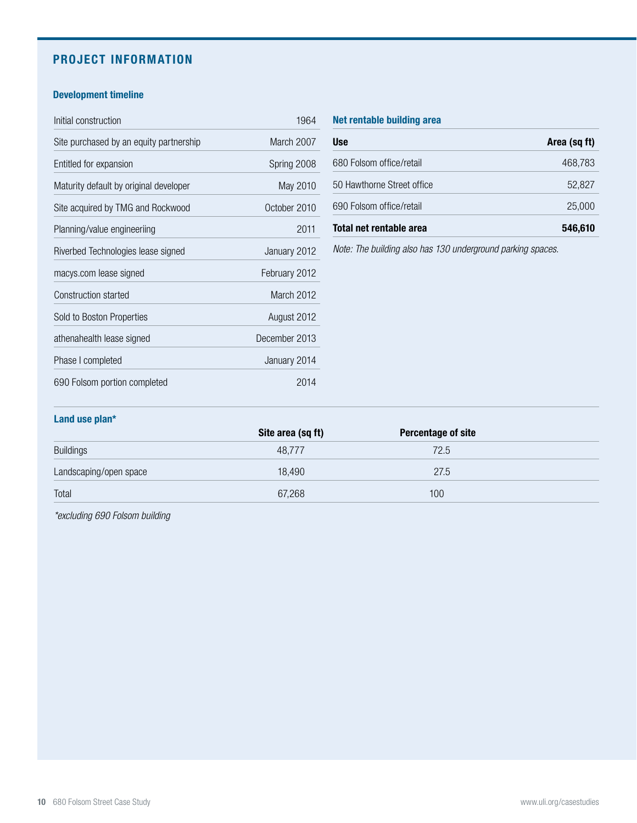# **PROJECT INFORMATION**

# **Development timeline**

| Initial construction                    | 1964          |
|-----------------------------------------|---------------|
| Site purchased by an equity partnership | March 2007    |
| Entitled for expansion                  | Spring 2008   |
| Maturity default by original developer  | May 2010      |
| Site acquired by TMG and Rockwood       | October 2010  |
| Planning/value engineeriing             | 2011          |
| Riverbed Technologies lease signed      | January 2012  |
| macys.com lease signed                  | February 2012 |
| Construction started                    | March 2012    |
| Sold to Boston Properties               | August 2012   |
| athenahealth lease signed               | December 2013 |
| Phase I completed                       | January 2014  |
| 690 Folsom portion completed            | 2014          |

## **Net rentable building area**

| <b>Use</b>                 | Area (sq ft) |
|----------------------------|--------------|
| 680 Folsom office/retail   | 468,783      |
| 50 Hawthorne Street office | 52,827       |
| 690 Folsom office/retail   | 25,000       |
| Total net rentable area    | 546,610      |

*Note: The building also has 130 underground parking spaces.* 

#### **Land use plan\***

|                        | Site area (sq ft) | <b>Percentage of site</b> |  |
|------------------------|-------------------|---------------------------|--|
| <b>Buildings</b>       | 48,777            | 72.5                      |  |
| Landscaping/open space | 18,490            | 27.5                      |  |
| Total                  | 67,268            | 100                       |  |

*\*excluding 690 Folsom building*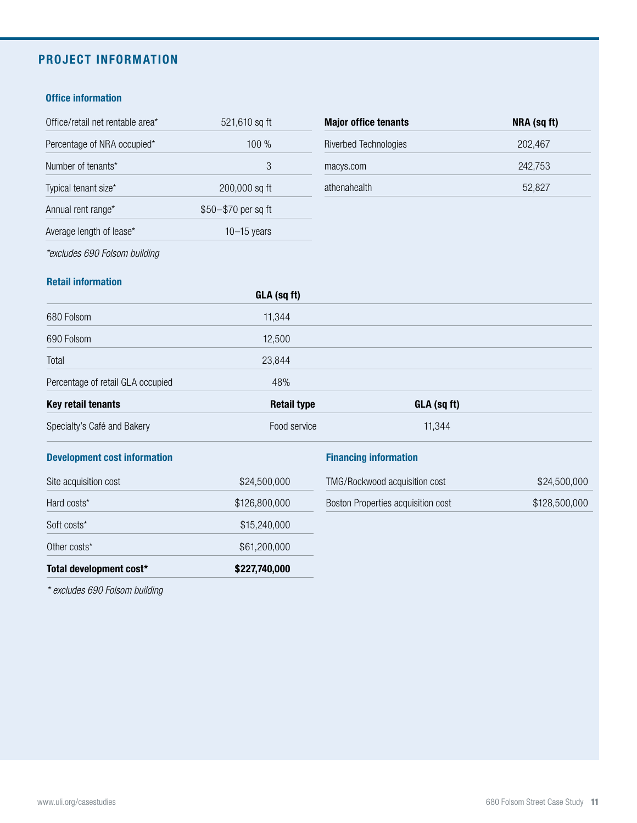# **PROJECT INFORMATION**

## **Office information**

| Office/retail net rentable area* | 521,610 sq ft       | <b>Major office tenants</b>  |
|----------------------------------|---------------------|------------------------------|
| Percentage of NRA occupied*      | $100\%$             | <b>Riverbed Technologies</b> |
| Number of tenants*               | 3                   | macys.com                    |
| Typical tenant size*             | 200,000 sq ft       | athenahealth                 |
| Annual rent range*               | \$50-\$70 per sq ft |                              |
| Average length of lease*         | $10-15$ years       |                              |
|                                  |                     |                              |

| <b>Major office tenants</b> | NRA (sq ft) |
|-----------------------------|-------------|
| Riverbed Technologies       | 202.467     |
| macys.com                   | 242.753     |
| athenahealth                | 52,827      |

*\*excludes 690 Folsom building*

## **Retail information**

|                                   | GLA (sq ft)        |             |  |
|-----------------------------------|--------------------|-------------|--|
| 680 Folsom                        | 11,344             |             |  |
| 690 Folsom                        | 12,500             |             |  |
| Total                             | 23,844             |             |  |
| Percentage of retail GLA occupied | 48%                |             |  |
| Key retail tenants                | <b>Retail type</b> | GLA (sq ft) |  |
| Specialty's Café and Bakery       | Food service       | 11,344      |  |

| <b>Development cost information</b> |               | <b>Financing information</b>       |               |
|-------------------------------------|---------------|------------------------------------|---------------|
| Site acquisition cost               | \$24,500,000  | TMG/Rockwood acquisition cost      | \$24,500,000  |
| Hard costs*                         | \$126,800,000 | Boston Properties acquisition cost | \$128,500,000 |
| Soft costs*                         | \$15,240,000  |                                    |               |
| Other costs*                        | \$61,200,000  |                                    |               |
| Total development cost*             | \$227,740,000 |                                    |               |

*\* excludes 690 Folsom building*